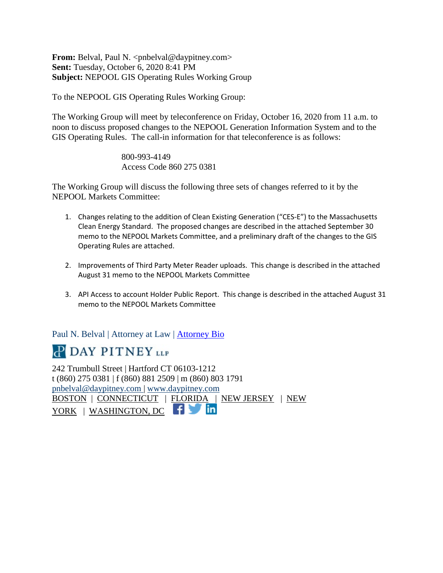**From:** Belval, Paul N. <pnbelval@daypitney.com> **Sent:** Tuesday, October 6, 2020 8:41 PM **Subject:** NEPOOL GIS Operating Rules Working Group

To the NEPOOL GIS Operating Rules Working Group:

The Working Group will meet by teleconference on Friday, October 16, 2020 from 11 a.m. to noon to discuss proposed changes to the NEPOOL Generation Information System and to the GIS Operating Rules. The call-in information for that teleconference is as follows:

> 800-993-4149 Access Code 860 275 0381

The Working Group will discuss the following three sets of changes referred to it by the NEPOOL Markets Committee:

- 1. Changes relating to the addition of Clean Existing Generation ("CES-E") to the Massachusetts Clean Energy Standard. The proposed changes are described in the attached September 30 memo to the NEPOOL Markets Committee, and a preliminary draft of the changes to the GIS Operating Rules are attached.
- 2. Improvements of Third Party Meter Reader uploads. This change is described in the attached August 31 memo to the NEPOOL Markets Committee
- 3. API Access to account Holder Public Report. This change is described in the attached August 31 memo to the NEPOOL Markets Committee

Paul N. Belval | Attorney at Law | Attorney Bio

# **P DAY PITNEY LLP**

242 Trumbull Street | Hartford CT 06103-1212 t (860) 275 0381 | f (860) 881 2509 | m (860) 803 1791 pnbelval@daypitney.com | www.daypitney.com BOSTON | CONNECTICUT | FLORIDA | NEW JERSEY | NEW YORK | WASHINGTON, DC | |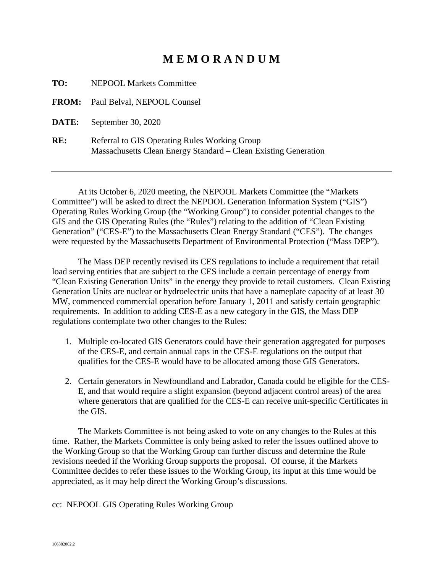# **M E M O R A N D U M**

**TO:** NEPOOL Markets Committee

**FROM:** Paul Belval, NEPOOL Counsel

**DATE:** September 30, 2020

**RE:** Referral to GIS Operating Rules Working Group Massachusetts Clean Energy Standard – Clean Existing Generation

At its October 6, 2020 meeting, the NEPOOL Markets Committee (the "Markets Committee") will be asked to direct the NEPOOL Generation Information System ("GIS") Operating Rules Working Group (the "Working Group") to consider potential changes to the GIS and the GIS Operating Rules (the "Rules") relating to the addition of "Clean Existing Generation" ("CES-E") to the Massachusetts Clean Energy Standard ("CES"). The changes were requested by the Massachusetts Department of Environmental Protection ("Mass DEP").

The Mass DEP recently revised its CES regulations to include a requirement that retail load serving entities that are subject to the CES include a certain percentage of energy from "Clean Existing Generation Units" in the energy they provide to retail customers. Clean Existing Generation Units are nuclear or hydroelectric units that have a nameplate capacity of at least 30 MW, commenced commercial operation before January 1, 2011 and satisfy certain geographic requirements. In addition to adding CES-E as a new category in the GIS, the Mass DEP regulations contemplate two other changes to the Rules:

- 1. Multiple co-located GIS Generators could have their generation aggregated for purposes of the CES-E, and certain annual caps in the CES-E regulations on the output that qualifies for the CES-E would have to be allocated among those GIS Generators.
- 2. Certain generators in Newfoundland and Labrador, Canada could be eligible for the CES-E, and that would require a slight expansion (beyond adjacent control areas) of the area where generators that are qualified for the CES-E can receive unit-specific Certificates in the GIS.

The Markets Committee is not being asked to vote on any changes to the Rules at this time. Rather, the Markets Committee is only being asked to refer the issues outlined above to the Working Group so that the Working Group can further discuss and determine the Rule revisions needed if the Working Group supports the proposal. Of course, if the Markets Committee decides to refer these issues to the Working Group, its input at this time would be appreciated, as it may help direct the Working Group's discussions.

cc: NEPOOL GIS Operating Rules Working Group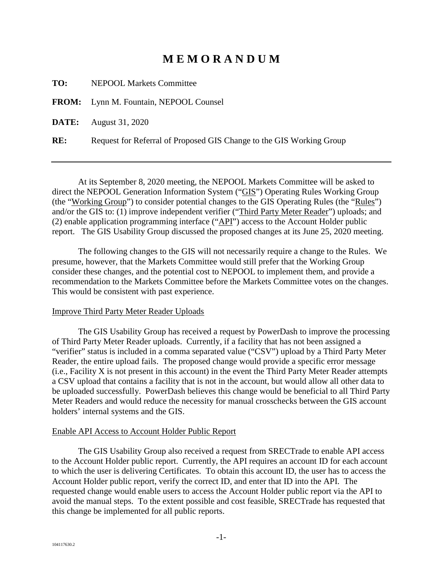# **M E M O R A N D U M**

**TO:** NEPOOL Markets Committee

**FROM:** Lynn M. Fountain, NEPOOL Counsel

**DATE:** August 31, 2020

**RE:** Request for Referral of Proposed GIS Change to the GIS Working Group

At its September 8, 2020 meeting, the NEPOOL Markets Committee will be asked to direct the NEPOOL Generation Information System ("GIS") Operating Rules Working Group (the "Working Group") to consider potential changes to the GIS Operating Rules (the "Rules") and/or the GIS to: (1) improve independent verifier ("Third Party Meter Reader") uploads; and (2) enable application programming interface (" $\Delta$ PI") access to the Account Holder public report. The GIS Usability Group discussed the proposed changes at its June 25, 2020 meeting.

The following changes to the GIS will not necessarily require a change to the Rules. We presume, however, that the Markets Committee would still prefer that the Working Group consider these changes, and the potential cost to NEPOOL to implement them, and provide a recommendation to the Markets Committee before the Markets Committee votes on the changes. This would be consistent with past experience.

#### Improve Third Party Meter Reader Uploads

The GIS Usability Group has received a request by PowerDash to improve the processing of Third Party Meter Reader uploads. Currently, if a facility that has not been assigned a "verifier" status is included in a comma separated value ("CSV") upload by a Third Party Meter Reader, the entire upload fails. The proposed change would provide a specific error message (i.e., Facility X is not present in this account) in the event the Third Party Meter Reader attempts a CSV upload that contains a facility that is not in the account, but would allow all other data to be uploaded successfully. PowerDash believes this change would be beneficial to all Third Party Meter Readers and would reduce the necessity for manual crosschecks between the GIS account holders' internal systems and the GIS.

#### Enable API Access to Account Holder Public Report

The GIS Usability Group also received a request from SRECTrade to enable API access to the Account Holder public report. Currently, the API requires an account ID for each account to which the user is delivering Certificates. To obtain this account ID, the user has to access the Account Holder public report, verify the correct ID, and enter that ID into the API. The requested change would enable users to access the Account Holder public report via the API to avoid the manual steps. To the extent possible and cost feasible, SRECTrade has requested that this change be implemented for all public reports.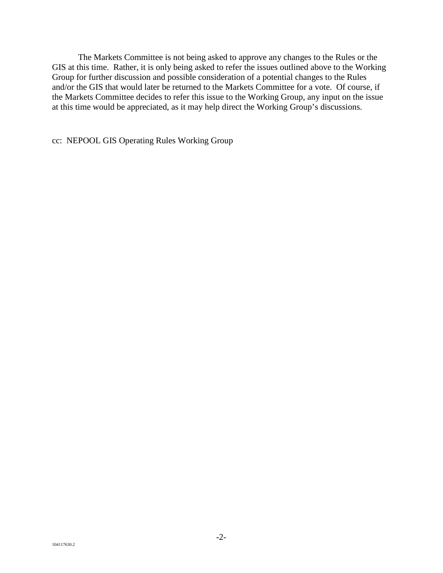The Markets Committee is not being asked to approve any changes to the Rules or the GIS at this time. Rather, it is only being asked to refer the issues outlined above to the Working Group for further discussion and possible consideration of a potential changes to the Rules and/or the GIS that would later be returned to the Markets Committee for a vote. Of course, if the Markets Committee decides to refer this issue to the Working Group, any input on the issue at this time would be appreciated, as it may help direct the Working Group's discussions.

cc: NEPOOL GIS Operating Rules Working Group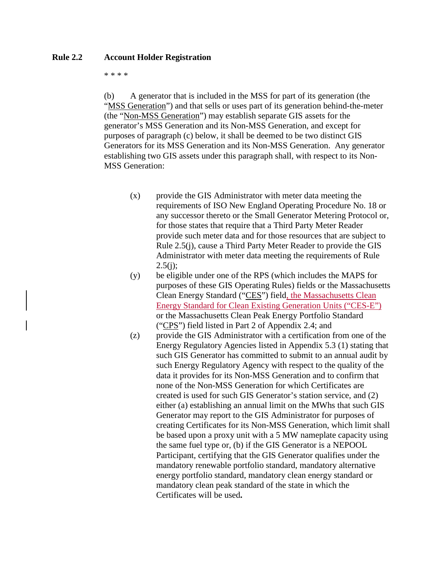## **Rule 2.2 Account Holder Registration**

#### \* \* \* \*

(b) A generator that is included in the MSS for part of its generation (the "MSS Generation") and that sells or uses part of its generation behind-the-meter (the "Non-MSS Generation") may establish separate GIS assets for the generator's MSS Generation and its Non-MSS Generation, and except for purposes of paragraph (c) below, it shall be deemed to be two distinct GIS Generators for its MSS Generation and its Non-MSS Generation. Any generator establishing two GIS assets under this paragraph shall, with respect to its Non-MSS Generation:

- (x) provide the GIS Administrator with meter data meeting the requirements of ISO New England Operating Procedure No. 18 or any successor thereto or the Small Generator Metering Protocol or, for those states that require that a Third Party Meter Reader provide such meter data and for those resources that are subject to Rule 2.5(j), cause a Third Party Meter Reader to provide the GIS Administrator with meter data meeting the requirements of Rule  $2.5(i)$ ;
- (y) be eligible under one of the RPS (which includes the MAPS for purposes of these GIS Operating Rules) fields or the Massachusetts Clean Energy Standard ("CES") field, the Massachusetts Clean Energy Standard for Clean Existing Generation Units ("CES-E") or the Massachusetts Clean Peak Energy Portfolio Standard ("CPS") field listed in Part 2 of Appendix 2.4; and
- (z) provide the GIS Administrator with a certification from one of the Energy Regulatory Agencies listed in Appendix 5.3 (1) stating that such GIS Generator has committed to submit to an annual audit by such Energy Regulatory Agency with respect to the quality of the data it provides for its Non-MSS Generation and to confirm that none of the Non-MSS Generation for which Certificates are created is used for such GIS Generator's station service, and (2) either (a) establishing an annual limit on the MWhs that such GIS Generator may report to the GIS Administrator for purposes of creating Certificates for its Non-MSS Generation, which limit shall be based upon a proxy unit with a 5 MW nameplate capacity using the same fuel type or, (b) if the GIS Generator is a NEPOOL Participant, certifying that the GIS Generator qualifies under the mandatory renewable portfolio standard, mandatory alternative energy portfolio standard, mandatory clean energy standard or mandatory clean peak standard of the state in which the Certificates will be used**.**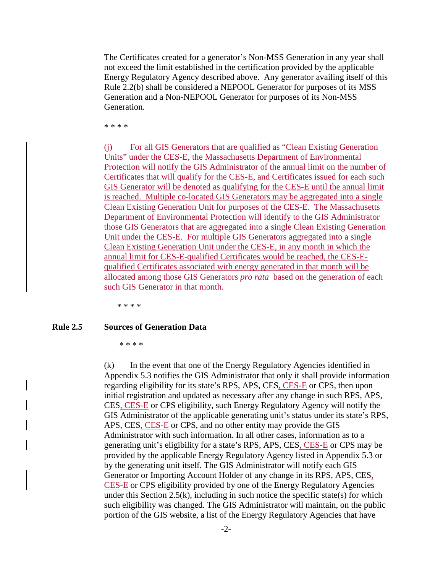The Certificates created for a generator's Non-MSS Generation in any year shall not exceed the limit established in the certification provided by the applicable Energy Regulatory Agency described above. Any generator availing itself of this Rule 2.2(b) shall be considered a NEPOOL Generator for purposes of its MSS Generation and a Non-NEPOOL Generator for purposes of its Non-MSS Generation.

\* \* \* \*

(j) For all GIS Generators that are qualified as "Clean Existing Generation Units" under the CES-E, the Massachusetts Department of Environmental Protection will notify the GIS Administrator of the annual limit on the number of Certificates that will qualify for the CES-E, and Certificates issued for each such GIS Generator will be denoted as qualifying for the CES-E until the annual limit is reached. Multiple co-located GIS Generators may be aggregated into a single Clean Existing Generation Unit for purposes of the CES-E. The Massachusetts Department of Environmental Protection will identify to the GIS Administrator those GIS Generators that are aggregated into a single Clean Existing Generation Unit under the CES-E. For multiple GIS Generators aggregated into a single Clean Existing Generation Unit under the CES-E, in any month in which the annual limit for CES-E-qualified Certificates would be reached, the CES-Equalified Certificates associated with energy generated in that month will be allocated among those GIS Generators *pro rata* based on the generation of each such GIS Generator in that month.

\* \* \* \*

#### **Rule 2.5 Sources of Generation Data**

\* \* \* \*

(k) In the event that one of the Energy Regulatory Agencies identified in Appendix 5.3 notifies the GIS Administrator that only it shall provide information regarding eligibility for its state's RPS, APS, CES, CES-E or CPS, then upon initial registration and updated as necessary after any change in such RPS, APS, CES, CES-E or CPS eligibility, such Energy Regulatory Agency will notify the GIS Administrator of the applicable generating unit's status under its state's RPS, APS, CES, CES-E or CPS, and no other entity may provide the GIS Administrator with such information. In all other cases, information as to a generating unit's eligibility for a state's RPS, APS, CES, CES-E or CPS may be provided by the applicable Energy Regulatory Agency listed in Appendix 5.3 or by the generating unit itself. The GIS Administrator will notify each GIS Generator or Importing Account Holder of any change in its RPS, APS, CES, CES-E or CPS eligibility provided by one of the Energy Regulatory Agencies under this Section 2.5(k), including in such notice the specific state(s) for which such eligibility was changed. The GIS Administrator will maintain, on the public portion of the GIS website, a list of the Energy Regulatory Agencies that have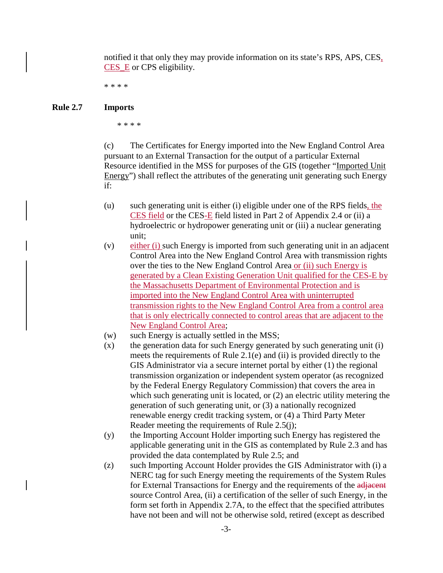notified it that only they may provide information on its state's RPS, APS, CES, CES\_E or CPS eligibility.

\* \* \* \*

#### **Rule 2.7 Imports**

\* \* \* \*

(c) The Certificates for Energy imported into the New England Control Area pursuant to an External Transaction for the output of a particular External Resource identified in the MSS for purposes of the GIS (together "Imported Unit Energy") shall reflect the attributes of the generating unit generating such Energy if:

- (u) such generating unit is either (i) eligible under one of the RPS fields, the CES field or the CES-E field listed in Part 2 of Appendix 2.4 or (ii) a hydroelectric or hydropower generating unit or (iii) a nuclear generating unit;
- (v) either (i) such Energy is imported from such generating unit in an adjacent Control Area into the New England Control Area with transmission rights over the ties to the New England Control Area or (ii) such Energy is generated by a Clean Existing Generation Unit qualified for the CES-E by the Massachusetts Department of Environmental Protection and is imported into the New England Control Area with uninterrupted transmission rights to the New England Control Area from a control area that is only electrically connected to control areas that are adjacent to the New England Control Area;
- (w) such Energy is actually settled in the MSS;
- (x) the generation data for such Energy generated by such generating unit (i) meets the requirements of Rule 2.1(e) and (ii) is provided directly to the GIS Administrator via a secure internet portal by either (1) the regional transmission organization or independent system operator (as recognized by the Federal Energy Regulatory Commission) that covers the area in which such generating unit is located, or  $(2)$  an electric utility metering the generation of such generating unit, or (3) a nationally recognized renewable energy credit tracking system, or (4) a Third Party Meter Reader meeting the requirements of Rule 2.5(j);
- (y) the Importing Account Holder importing such Energy has registered the applicable generating unit in the GIS as contemplated by Rule 2.3 and has provided the data contemplated by Rule 2.5; and
- (z) such Importing Account Holder provides the GIS Administrator with (i) a NERC tag for such Energy meeting the requirements of the System Rules for External Transactions for Energy and the requirements of the adjacent source Control Area, (ii) a certification of the seller of such Energy, in the form set forth in Appendix 2.7A, to the effect that the specified attributes have not been and will not be otherwise sold, retired (except as described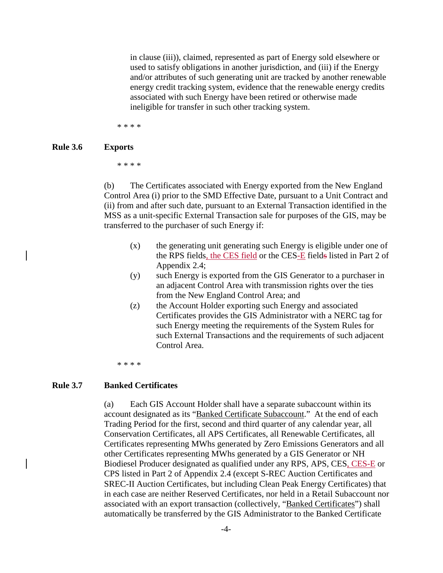in clause (iii)), claimed, represented as part of Energy sold elsewhere or used to satisfy obligations in another jurisdiction, and (iii) if the Energy and/or attributes of such generating unit are tracked by another renewable energy credit tracking system, evidence that the renewable energy credits associated with such Energy have been retired or otherwise made ineligible for transfer in such other tracking system.

\* \* \* \*

#### **Rule 3.6 Exports**

\* \* \* \*

(b) The Certificates associated with Energy exported from the New England Control Area (i) prior to the SMD Effective Date, pursuant to a Unit Contract and (ii) from and after such date, pursuant to an External Transaction identified in the MSS as a unit-specific External Transaction sale for purposes of the GIS, may be transferred to the purchaser of such Energy if:

- (x) the generating unit generating such Energy is eligible under one of the RPS fields, the CES field or the CES-E fields listed in Part 2 of Appendix 2.4;
- (y) such Energy is exported from the GIS Generator to a purchaser in an adjacent Control Area with transmission rights over the ties from the New England Control Area; and
- (z) the Account Holder exporting such Energy and associated Certificates provides the GIS Administrator with a NERC tag for such Energy meeting the requirements of the System Rules for such External Transactions and the requirements of such adjacent Control Area.

\* \* \* \*

#### **Rule 3.7 Banked Certificates**

(a) Each GIS Account Holder shall have a separate subaccount within its account designated as its "Banked Certificate Subaccount." At the end of each Trading Period for the first, second and third quarter of any calendar year, all Conservation Certificates, all APS Certificates, all Renewable Certificates, all Certificates representing MWhs generated by Zero Emissions Generators and all other Certificates representing MWhs generated by a GIS Generator or NH Biodiesel Producer designated as qualified under any RPS, APS, CES, CES-E or CPS listed in Part 2 of Appendix 2.4 (except S-REC Auction Certificates and SREC-II Auction Certificates, but including Clean Peak Energy Certificates) that in each case are neither Reserved Certificates, nor held in a Retail Subaccount nor associated with an export transaction (collectively, "Banked Certificates") shall automatically be transferred by the GIS Administrator to the Banked Certificate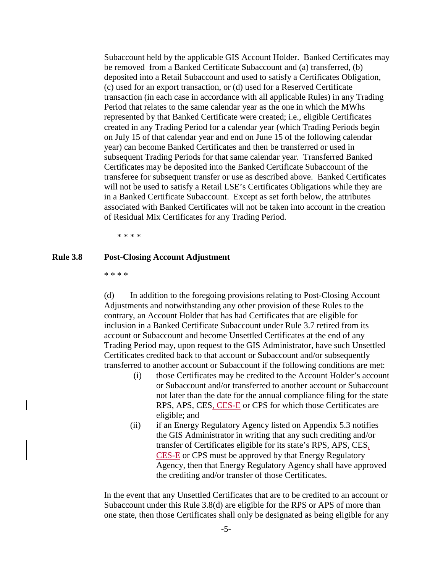Subaccount held by the applicable GIS Account Holder. Banked Certificates may be removed from a Banked Certificate Subaccount and (a) transferred, (b) deposited into a Retail Subaccount and used to satisfy a Certificates Obligation, (c) used for an export transaction, or (d) used for a Reserved Certificate transaction (in each case in accordance with all applicable Rules) in any Trading Period that relates to the same calendar year as the one in which the MWhs represented by that Banked Certificate were created; i.e., eligible Certificates created in any Trading Period for a calendar year (which Trading Periods begin on July 15 of that calendar year and end on June 15 of the following calendar year) can become Banked Certificates and then be transferred or used in subsequent Trading Periods for that same calendar year. Transferred Banked Certificates may be deposited into the Banked Certificate Subaccount of the transferee for subsequent transfer or use as described above. Banked Certificates will not be used to satisfy a Retail LSE's Certificates Obligations while they are in a Banked Certificate Subaccount. Except as set forth below, the attributes associated with Banked Certificates will not be taken into account in the creation of Residual Mix Certificates for any Trading Period.

\* \* \* \*

#### **Rule 3.8 Post-Closing Account Adjustment**

\* \* \* \*

(d) In addition to the foregoing provisions relating to Post-Closing Account Adjustments and notwithstanding any other provision of these Rules to the contrary, an Account Holder that has had Certificates that are eligible for inclusion in a Banked Certificate Subaccount under Rule 3.7 retired from its account or Subaccount and become Unsettled Certificates at the end of any Trading Period may, upon request to the GIS Administrator, have such Unsettled Certificates credited back to that account or Subaccount and/or subsequently transferred to another account or Subaccount if the following conditions are met:

- (i) those Certificates may be credited to the Account Holder's account or Subaccount and/or transferred to another account or Subaccount not later than the date for the annual compliance filing for the state RPS, APS, CES, CES-E or CPS for which those Certificates are eligible; and
- (ii) if an Energy Regulatory Agency listed on Appendix 5.3 notifies the GIS Administrator in writing that any such crediting and/or transfer of Certificates eligible for its state's RPS, APS, CES, CES-E or CPS must be approved by that Energy Regulatory Agency, then that Energy Regulatory Agency shall have approved the crediting and/or transfer of those Certificates.

In the event that any Unsettled Certificates that are to be credited to an account or Subaccount under this Rule 3.8(d) are eligible for the RPS or APS of more than one state, then those Certificates shall only be designated as being eligible for any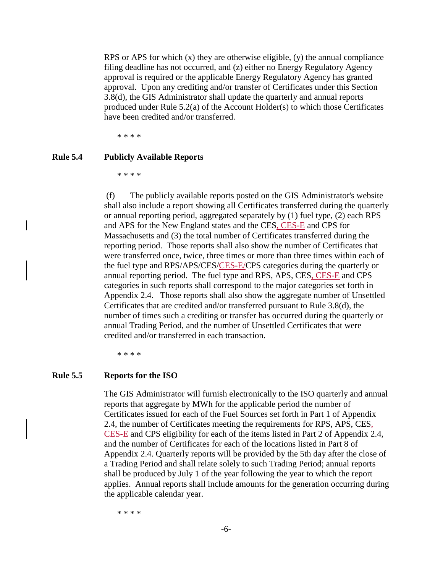RPS or APS for which  $(x)$  they are otherwise eligible,  $(y)$  the annual compliance filing deadline has not occurred, and (z) either no Energy Regulatory Agency approval is required or the applicable Energy Regulatory Agency has granted approval. Upon any crediting and/or transfer of Certificates under this Section 3.8(d), the GIS Administrator shall update the quarterly and annual reports produced under Rule 5.2(a) of the Account Holder(s) to which those Certificates have been credited and/or transferred.

\* \* \* \*

# **Rule 5.4 Publicly Available Reports**

\* \* \* \*

 (f) The publicly available reports posted on the GIS Administrator's website shall also include a report showing all Certificates transferred during the quarterly or annual reporting period, aggregated separately by (1) fuel type, (2) each RPS and APS for the New England states and the CES, CES-E and CPS for Massachusetts and (3) the total number of Certificates transferred during the reporting period. Those reports shall also show the number of Certificates that were transferred once, twice, three times or more than three times within each of the fuel type and RPS/APS/CES/CES-E/CPS categories during the quarterly or annual reporting period. The fuel type and RPS, APS, CES, CES-E and CPS categories in such reports shall correspond to the major categories set forth in Appendix 2.4. Those reports shall also show the aggregate number of Unsettled Certificates that are credited and/or transferred pursuant to Rule 3.8(d), the number of times such a crediting or transfer has occurred during the quarterly or annual Trading Period, and the number of Unsettled Certificates that were credited and/or transferred in each transaction.

\* \* \* \*

#### **Rule 5.5 Reports for the ISO**

The GIS Administrator will furnish electronically to the ISO quarterly and annual reports that aggregate by MWh for the applicable period the number of Certificates issued for each of the Fuel Sources set forth in Part 1 of Appendix 2.4, the number of Certificates meeting the requirements for RPS, APS, CES, CES-E and CPS eligibility for each of the items listed in Part 2 of Appendix 2.4, and the number of Certificates for each of the locations listed in Part 8 of Appendix 2.4. Quarterly reports will be provided by the 5th day after the close of a Trading Period and shall relate solely to such Trading Period; annual reports shall be produced by July 1 of the year following the year to which the report applies. Annual reports shall include amounts for the generation occurring during the applicable calendar year.

\* \* \* \*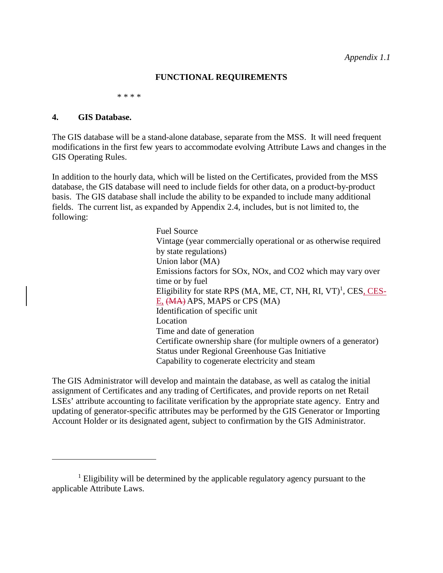## **FUNCTIONAL REQUIREMENTS**

\* \* \* \*

#### **4. GIS Database.**

The GIS database will be a stand-alone database, separate from the MSS. It will need frequent modifications in the first few years to accommodate evolving Attribute Laws and changes in the GIS Operating Rules.

In addition to the hourly data, which will be listed on the Certificates, provided from the MSS database, the GIS database will need to include fields for other data, on a product-by-product basis. The GIS database shall include the ability to be expanded to include many additional fields. The current list, as expanded by Appendix 2.4, includes, but is not limited to, the following:

> Fuel Source Vintage (year commercially operational or as otherwise required by state regulations) Union labor (MA) Emissions factors for SOx, NOx, and CO2 which may vary over time or by fuel Eligibility for state RPS (MA, ME, CT, NH, RI, VT)<sup>1</sup>, CES, CES-E, (MA) APS, MAPS or CPS (MA) Identification of specific unit Location Time and date of generation Certificate ownership share (for multiple owners of a generator) Status under Regional Greenhouse Gas Initiative Capability to cogenerate electricity and steam

The GIS Administrator will develop and maintain the database, as well as catalog the initial assignment of Certificates and any trading of Certificates, and provide reports on net Retail LSEs' attribute accounting to facilitate verification by the appropriate state agency. Entry and updating of generator-specific attributes may be performed by the GIS Generator or Importing Account Holder or its designated agent, subject to confirmation by the GIS Administrator.

<sup>&</sup>lt;sup>1</sup> Eligibility will be determined by the applicable regulatory agency pursuant to the applicable Attribute Laws.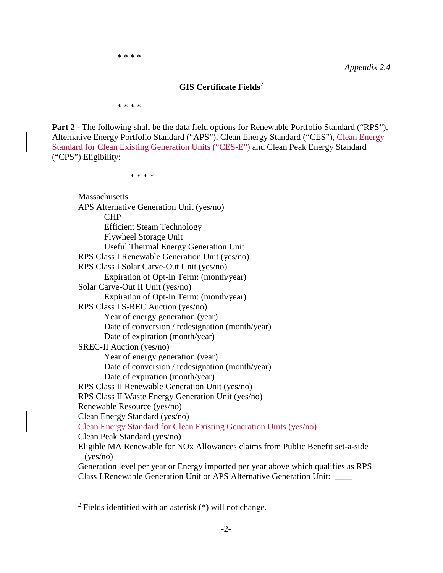## **GIS Certificate Fields**<sup>2</sup>

\* \* \* \*

**Part 2** - The following shall be the data field options for Renewable Portfolio Standard ("RPS"), Alternative Energy Portfolio Standard ("APS"), Clean Energy Standard ("CES"), Clean Energy Standard for Clean Existing Generation Units ("CES-E") and Clean Peak Energy Standard ("CPS") Eligibility:

\* \* \* \*

**Massachusetts** APS Alternative Generation Unit (yes/no) CHP Efficient Steam Technology Flywheel Storage Unit Useful Thermal Energy Generation Unit RPS Class I Renewable Generation Unit (yes/no) RPS Class I Solar Carve-Out Unit (yes/no) Expiration of Opt-In Term: (month/year) Solar Carve-Out II Unit (yes/no) Expiration of Opt-In Term: (month/year) RPS Class I S-REC Auction (yes/no) Year of energy generation (year) Date of conversion / redesignation (month/year) Date of expiration (month/year) SREC-II Auction (yes/no) Year of energy generation (year) Date of conversion / redesignation (month/year) Date of expiration (month/year) RPS Class II Renewable Generation Unit (yes/no) RPS Class II Waste Energy Generation Unit (yes/no) Renewable Resource (yes/no) Clean Energy Standard (yes/no) Clean Energy Standard for Clean Existing Generation Units (yes/no) Clean Peak Standard (yes/no) Eligible MA Renewable for NOx Allowances claims from Public Benefit set-a-side (yes/no) Generation level per year or Energy imported per year above which qualifies as RPS Class I Renewable Generation Unit or APS Alternative Generation Unit: \_\_\_\_

 $2$  Fields identified with an asterisk  $(*)$  will not change.